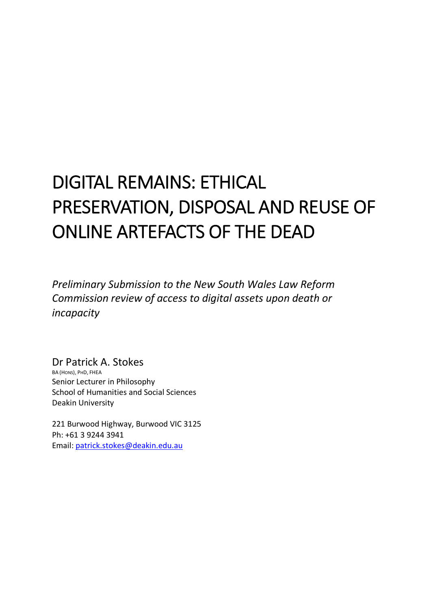# DIGITAL REMAINS: ETHICAL PRESERVATION, DISPOSAL AND REUSE OF ONLINE ARTEFACTS OF THE DEAD

*Preliminary Submission to the New South Wales Law Reform Commission review of access to digital assets upon death or incapacity*

Dr Patrick A. Stokes BA (HONS), PHD, FHEA Senior Lecturer in Philosophy School of Humanities and Social Sciences Deakin University

221 Burwood Highway, Burwood VIC 3125 Ph: +61 3 9244 3941 Email: patrick.stokes@deakin.edu.au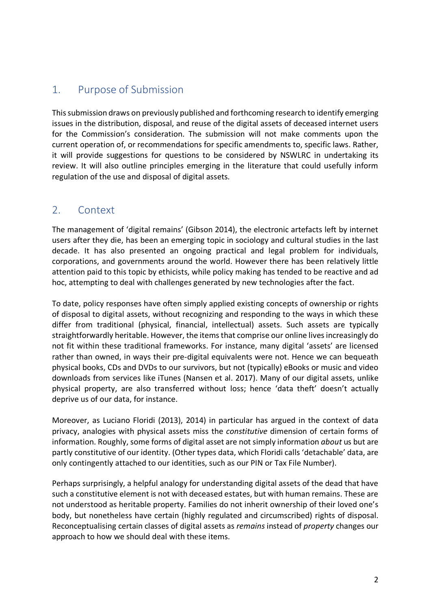## 1. Purpose of Submission

This submission draws on previously published and forthcoming research to identify emerging issues in the distribution, disposal, and reuse of the digital assets of deceased internet users for the Commission's consideration. The submission will not make comments upon the current operation of, or recommendations for specific amendments to, specific laws. Rather, it will provide suggestions for questions to be considered by NSWLRC in undertaking its review. It will also outline principles emerging in the literature that could usefully inform regulation of the use and disposal of digital assets.

### 2. Context

The management of 'digital remains' (Gibson 2014), the electronic artefacts left by internet users after they die, has been an emerging topic in sociology and cultural studies in the last decade. It has also presented an ongoing practical and legal problem for individuals, corporations, and governments around the world. However there has been relatively little attention paid to this topic by ethicists, while policy making has tended to be reactive and ad hoc, attempting to deal with challenges generated by new technologies after the fact.

To date, policy responses have often simply applied existing concepts of ownership or rights of disposal to digital assets, without recognizing and responding to the ways in which these differ from traditional (physical, financial, intellectual) assets. Such assets are typically straightforwardly heritable. However, the items that comprise our online lives increasingly do not fit within these traditional frameworks. For instance, many digital 'assets' are licensed rather than owned, in ways their pre-digital equivalents were not. Hence we can bequeath physical books, CDs and DVDs to our survivors, but not (typically) eBooks or music and video downloads from services like iTunes (Nansen et al. 2017). Many of our digital assets, unlike physical property, are also transferred without loss; hence 'data theft' doesn't actually deprive us of our data, for instance.

Moreover, as Luciano Floridi (2013), 2014) in particular has argued in the context of data privacy, analogies with physical assets miss the *constitutive* dimension of certain forms of information. Roughly, some forms of digital asset are not simply information *about* us but are partly constitutive of our identity. (Other types data, which Floridi calls 'detachable' data, are only contingently attached to our identities, such as our PIN or Tax File Number).

Perhaps surprisingly, a helpful analogy for understanding digital assets of the dead that have such a constitutive element is not with deceased estates, but with human remains. These are not understood as heritable property. Families do not inherit ownership of their loved one's body, but nonetheless have certain (highly regulated and circumscribed) rights of disposal. Reconceptualising certain classes of digital assets as *remains* instead of *property* changes our approach to how we should deal with these items.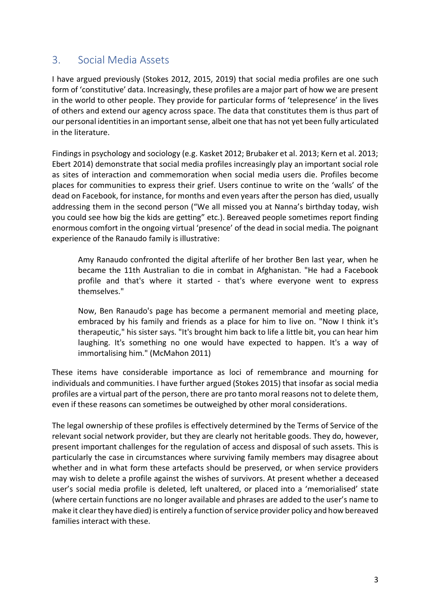### 3. Social Media Assets

I have argued previously (Stokes 2012, 2015, 2019) that social media profiles are one such form of 'constitutive' data. Increasingly, these profiles are a major part of how we are present in the world to other people. They provide for particular forms of 'telepresence' in the lives of others and extend our agency across space. The data that constitutes them is thus part of our personal identities in an important sense, albeit one that has not yet been fully articulated in the literature.

Findings in psychology and sociology (e.g. Kasket 2012; Brubaker et al. 2013; Kern et al. 2013; Ebert 2014) demonstrate that social media profiles increasingly play an important social role as sites of interaction and commemoration when social media users die. Profiles become places for communities to express their grief. Users continue to write on the 'walls' of the dead on Facebook, for instance, for months and even years after the person has died, usually addressing them in the second person ("We all missed you at Nanna's birthday today, wish you could see how big the kids are getting" etc.). Bereaved people sometimes report finding enormous comfort in the ongoing virtual 'presence' of the dead in social media. The poignant experience of the Ranaudo family is illustrative:

Amy Ranaudo confronted the digital afterlife of her brother Ben last year, when he became the 11th Australian to die in combat in Afghanistan. "He had a Facebook profile and that's where it started - that's where everyone went to express themselves."

Now, Ben Ranaudo's page has become a permanent memorial and meeting place, embraced by his family and friends as a place for him to live on. "Now I think it's therapeutic," his sister says. "It's brought him back to life a little bit, you can hear him laughing. It's something no one would have expected to happen. It's a way of immortalising him." (McMahon 2011)

These items have considerable importance as loci of remembrance and mourning for individuals and communities. I have further argued (Stokes 2015) that insofar as social media profiles are a virtual part of the person, there are pro tanto moral reasons not to delete them, even if these reasons can sometimes be outweighed by other moral considerations.

The legal ownership of these profiles is effectively determined by the Terms of Service of the relevant social network provider, but they are clearly not heritable goods. They do, however, present important challenges for the regulation of access and disposal of such assets. This is particularly the case in circumstances where surviving family members may disagree about whether and in what form these artefacts should be preserved, or when service providers may wish to delete a profile against the wishes of survivors. At present whether a deceased user's social media profile is deleted, left unaltered, or placed into a 'memorialised' state (where certain functions are no longer available and phrases are added to the user's name to make it clear they have died) is entirely a function of service provider policy and how bereaved families interact with these.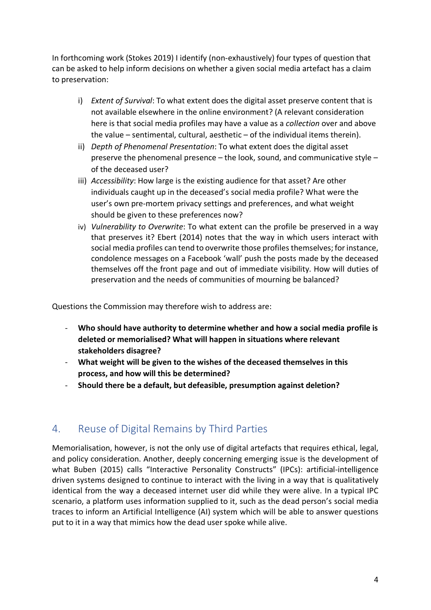In forthcoming work (Stokes 2019) I identify (non-exhaustively) four types of question that can be asked to help inform decisions on whether a given social media artefact has a claim to preservation:

- i) *Extent of Survival*: To what extent does the digital asset preserve content that is not available elsewhere in the online environment? (A relevant consideration here is that social media profiles may have a value as a *collection* over and above the value – sentimental, cultural, aesthetic – of the individual items therein).
- ii) *Depth of Phenomenal Presentation*: To what extent does the digital asset preserve the phenomenal presence – the look, sound, and communicative style – of the deceased user?
- iii) *Accessibility*: How large is the existing audience for that asset? Are other individuals caught up in the deceased's social media profile? What were the user's own pre-mortem privacy settings and preferences, and what weight should be given to these preferences now?
- iv) *Vulnerability to Overwrite*: To what extent can the profile be preserved in a way that preserves it? Ebert (2014) notes that the way in which users interact with social media profiles can tend to overwrite those profiles themselves; for instance, condolence messages on a Facebook 'wall' push the posts made by the deceased themselves off the front page and out of immediate visibility. How will duties of preservation and the needs of communities of mourning be balanced?

Questions the Commission may therefore wish to address are:

- **Who should have authority to determine whether and how a social media profile is deleted or memorialised? What will happen in situations where relevant stakeholders disagree?**
- **What weight will be given to the wishes of the deceased themselves in this process, and how will this be determined?**
- **Should there be a default, but defeasible, presumption against deletion?**

# 4. Reuse of Digital Remains by Third Parties

Memorialisation, however, is not the only use of digital artefacts that requires ethical, legal, and policy consideration. Another, deeply concerning emerging issue is the development of what Buben (2015) calls "Interactive Personality Constructs" (IPCs): artificial-intelligence driven systems designed to continue to interact with the living in a way that is qualitatively identical from the way a deceased internet user did while they were alive. In a typical IPC scenario, a platform uses information supplied to it, such as the dead person's social media traces to inform an Artificial Intelligence (AI) system which will be able to answer questions put to it in a way that mimics how the dead user spoke while alive.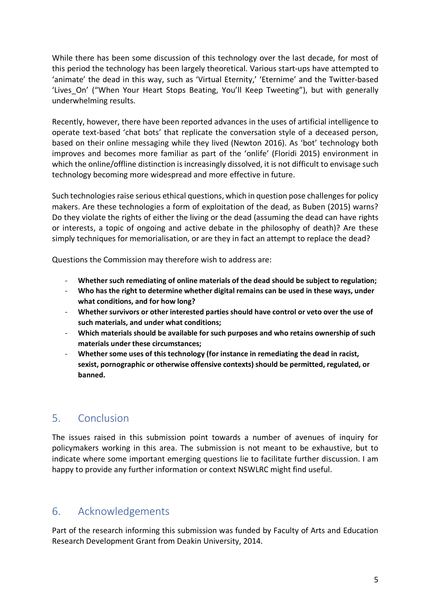While there has been some discussion of this technology over the last decade, for most of this period the technology has been largely theoretical. Various start-ups have attempted to 'animate' the dead in this way, such as 'Virtual Eternity,' 'Eternime' and the Twitter-based 'Lives On' ("When Your Heart Stops Beating, You'll Keep Tweeting"), but with generally underwhelming results.

Recently, however, there have been reported advances in the uses of artificial intelligence to operate text-based 'chat bots' that replicate the conversation style of a deceased person, based on their online messaging while they lived (Newton 2016). As 'bot' technology both improves and becomes more familiar as part of the 'onlife' (Floridi 2015) environment in which the online/offline distinction is increasingly dissolved, it is not difficult to envisage such technology becoming more widespread and more effective in future.

Such technologies raise serious ethical questions, which in question pose challenges for policy makers. Are these technologies a form of exploitation of the dead, as Buben (2015) warns? Do they violate the rights of either the living or the dead (assuming the dead can have rights or interests, a topic of ongoing and active debate in the philosophy of death)? Are these simply techniques for memorialisation, or are they in fact an attempt to replace the dead?

Questions the Commission may therefore wish to address are:

- **Whether such remediating of online materials of the dead should be subject to regulation;**
- **Who has the right to determine whether digital remains can be used in these ways, under what conditions, and for how long?**
- **Whether survivors or other interested parties should have control or veto over the use of such materials, and under what conditions;**
- **Which materials should be available for such purposes and who retains ownership of such materials under these circumstances;**
- **Whether some uses of this technology (for instance in remediating the dead in racist, sexist, pornographic or otherwise offensive contexts) should be permitted, regulated, or banned.**

## 5. Conclusion

The issues raised in this submission point towards a number of avenues of inquiry for policymakers working in this area. The submission is not meant to be exhaustive, but to indicate where some important emerging questions lie to facilitate further discussion. I am happy to provide any further information or context NSWLRC might find useful.

## 6. Acknowledgements

Part of the research informing this submission was funded by Faculty of Arts and Education Research Development Grant from Deakin University, 2014.